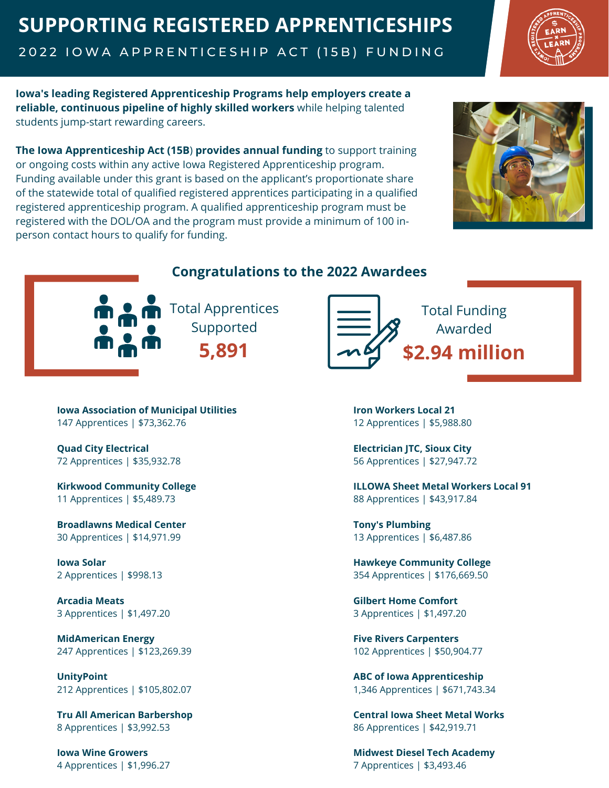## **SUPPORTING REGISTERED APPRENTICESHIPS**

2022 IOWA APPRENTICESHIP ACT (15B) FUNDING



**Iowa's leading Registered Apprenticeship Programs help employers create a reliable, continuous pipeline of highly skilled workers** while helping talented students jump-start rewarding careers.

**The Iowa Apprenticeship Act (15B**) **provides annual funding** to support training or ongoing costs within any active Iowa Registered Apprenticeship program. Funding available under this grant is based on the applicant's proportionate share of the statewide total of qualified registered apprentices participating in a qualified registered apprenticeship program. A qualified apprenticeship program must be registered with the DOL/OA and the program must provide a minimum of 100 inperson contact hours to qualify for funding.





## **Congratulations to the 2022 Awardees**

Total Apprentices Supported **5,891**



**Iowa Association of Municipal Utilities** 147 Apprentices | \$73,362.76

**Quad City Electrical** 72 Apprentices | \$35,932.78

**Kirkwood Community College** 11 Apprentices | \$5,489.73

**Broadlawns Medical Center** 30 Apprentices | \$14,971.99

**Iowa Solar** 2 Apprentices | \$998.13

**Arcadia Meats** 3 Apprentices | \$1,497.20

**MidAmerican Energy** 247 Apprentices | \$123,269.39

**UnityPoint** 212 Apprentices | \$105,802.07

**Tru All American Barbershop** 8 Apprentices | \$3,992.53

 $*1,996.27$ **Iowa Wine Growers** 4 Apprentices | \$1,996.27

**Iron Workers Local 21** 12 Apprentices | \$5,988.80

**Electrician JTC, Sioux City** 56 Apprentices | \$27,947.72

**ILLOWA Sheet Metal Workers Local 91** 88 Apprentices | \$43,917.84

**Tony's Plumbing** 13 Apprentices | \$6,487.86

**Hawkeye Community College** 354 Apprentices | \$176,669.50

**Gilbert Home Comfort** 3 Apprentices | \$1,497.20

**Five Rivers Carpenters** 102 Apprentices | \$50,904.77

**ABC of Iowa Apprenticeship** 1,346 Apprentices | \$671,743.34

**Central Iowa Sheet Metal Works** 86 Apprentices | \$42,919.71

**Midwest Diesel Tech Academy** 7 Apprentices | \$3,493.46